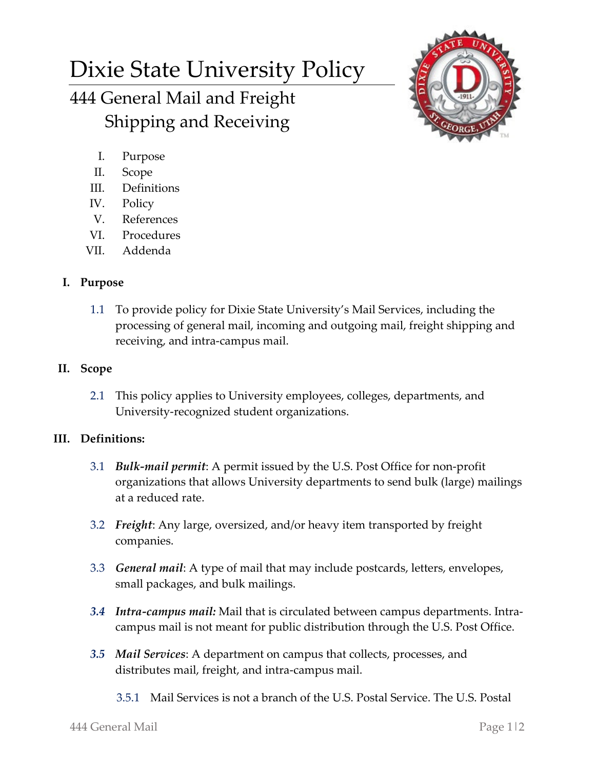# Dixie State University Policy 444 General Mail and Freight Shipping and Receiving



- I. Purpose
- II. Scope
- III. Definitions
- IV. Policy
- V. References
- VI. Procedures
- VII. Addenda

## **I. Purpose**

1.1 To provide policy for Dixie State University's Mail Services, including the processing of general mail, incoming and outgoing mail, freight shipping and receiving, and intra-campus mail.

### **II. Scope**

2.1 This policy applies to University employees, colleges, departments, and University-recognized student organizations.

### **III. Definitions:**

- 3.1 *Bulk-mail permit*: A permit issued by the U.S. Post Office for non-profit organizations that allows University departments to send bulk (large) mailings at a reduced rate.
- 3.2 *Freight*: Any large, oversized, and/or heavy item transported by freight companies.
- 3.3 *General mail*: A type of mail that may include postcards, letters, envelopes, small packages, and bulk mailings.
- *3.4 Intra-campus mail:* Mail that is circulated between campus departments. Intracampus mail is not meant for public distribution through the U.S. Post Office.
- *3.5 Mail Services*: A department on campus that collects, processes, and distributes mail, freight, and intra-campus mail.
	- 3.5.1 Mail Services is not a branch of the U.S. Postal Service. The U.S. Postal